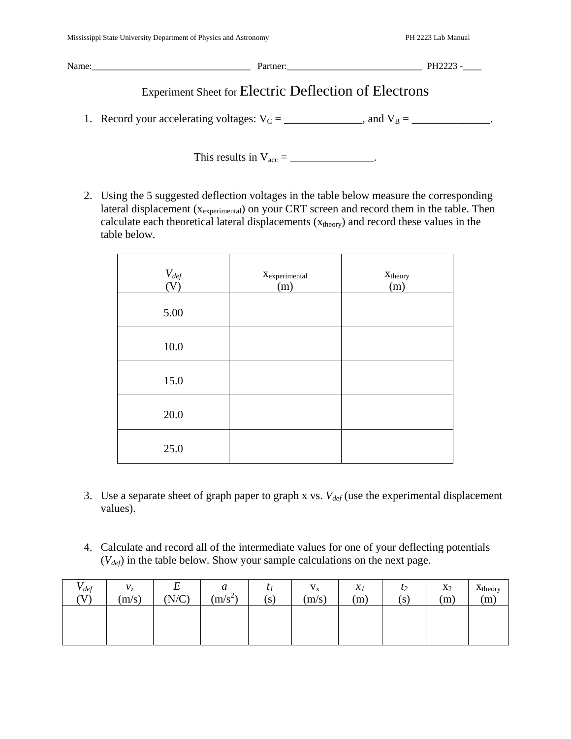| Name: | Partner:                                              | PH2223 - |  |  |  |  |
|-------|-------------------------------------------------------|----------|--|--|--|--|
|       | Experiment Sheet for Electric Deflection of Electrons |          |  |  |  |  |

1. Record your accelerating voltages:  $V_C =$  \_\_\_\_\_\_\_\_\_\_\_\_, and  $V_B =$  \_\_\_\_\_\_\_\_\_\_\_\_.

This results in  $V_{\text{acc}} = \_$ 

2. Using the 5 suggested deflection voltages in the table below measure the corresponding lateral displacement ( $x_{experimental}$ ) on your CRT screen and record them in the table. Then calculate each theoretical lateral displacements  $(x_{theory})$  and record these values in the table below.

| $V_{def}$<br>(V) | $X_{experimental}$<br>(m) | $X_{theory}$<br>(m) |
|------------------|---------------------------|---------------------|
| 5.00             |                           |                     |
| $10.0\,$         |                           |                     |
| 15.0             |                           |                     |
| $20.0$           |                           |                     |
| 25.0             |                           |                     |

- 3. Use a separate sheet of graph paper to graph x vs.  $V_{def}$  (use the experimental displacement values).
- 4. Calculate and record all of the intermediate values for one of your deflecting potentials (*Vdef*) in the table below. Show your sample calculations on the next page.

| $V_{def}$<br>(V) | v <sub>z</sub><br>$\sim$<br>(m/s) | ᠇<br>∸<br>(N/C) | a<br>$(m/s^2)$ | $\mathbf{v}$<br>(S) | $\mathbf{V}_\mathbf{X}$<br>(m/s) | $x_I$<br>(m) | $l_2$<br>(S) | $x_2$<br>(m) | Xtheory<br>(m) |
|------------------|-----------------------------------|-----------------|----------------|---------------------|----------------------------------|--------------|--------------|--------------|----------------|
|                  |                                   |                 |                |                     |                                  |              |              |              |                |
|                  |                                   |                 |                |                     |                                  |              |              |              |                |